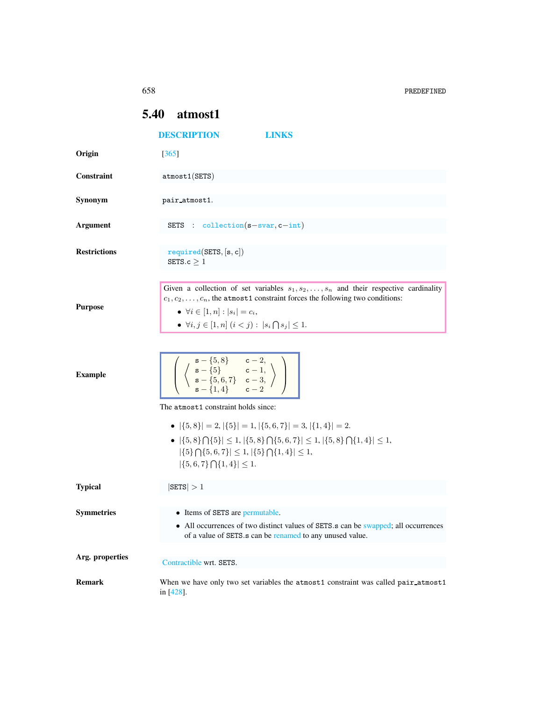658 PREDEFINED

|                     | <b>5.40</b> atmost1                                                                                                                                                                                                                                                                                                              |
|---------------------|----------------------------------------------------------------------------------------------------------------------------------------------------------------------------------------------------------------------------------------------------------------------------------------------------------------------------------|
|                     | <b>DESCRIPTION</b><br>LINKS                                                                                                                                                                                                                                                                                                      |
| Origin              | $[365]$                                                                                                                                                                                                                                                                                                                          |
| Constraint          | atmost1(SETS)                                                                                                                                                                                                                                                                                                                    |
| Synonym             | pair_atmost1.                                                                                                                                                                                                                                                                                                                    |
| <b>Argument</b>     | SETS : $\text{collection}(s-\text{svar},c-\text{int})$                                                                                                                                                                                                                                                                           |
| <b>Restrictions</b> | required(SETS, [s, c])<br>SETS.c $\geq 1$                                                                                                                                                                                                                                                                                        |
| <b>Purpose</b>      | Given a collection of set variables $s_1, s_2, \ldots, s_n$ and their respective cardinality<br>$c_1, c_2, \ldots, c_n$ , the atmost1 constraint forces the following two conditions:<br>• $\forall i \in [1, n] :  s_i  = c_i,$<br>• $\forall i, j \in [1, n]$ $(i < j)$ : $ s_i \bigcap s_j  \leq 1$ .                         |
| <b>Example</b>      | $\left[\begin{array}{c c}\n\text{s} - \{5, 8\} & c - 2, \\ \text{s} - \{5\} & c - 1, \\ \text{s} - \{5, 6, 7\} & c - 3, \\ \text{s} - \{1, 4\} & c - 2\n\end{array}\right]$                                                                                                                                                      |
|                     | The atmost1 constraint holds since:<br>• $ \{5,8\}  = 2,  \{5\}  = 1,  \{5,6,7\}  = 3,  \{1,4\}  = 2.$<br>• $ \{5,8\}\bigcap \{5\}  \leq 1,  \{5,8\}\bigcap \{5,6,7\}  \leq 1,  \{5,8\}\bigcap \{1,4\}  \leq 1,$<br>$ \{5\} \bigcap \{5,6,7\}  \leq 1,  \{5\} \bigcap \{1,4\}  \leq 1,$<br>$ \{5,6,7\} \bigcap \{1,4\}  \leq 1.$ |
| <b>Typical</b>      | $ \texttt{SETS}  > 1$                                                                                                                                                                                                                                                                                                            |
| <b>Symmetries</b>   | • Items of SETS are permutable.<br>• All occurrences of two distinct values of SETS.s can be swapped; all occurrences<br>of a value of SETS.s can be renamed to any unused value.                                                                                                                                                |
| Arg. properties     | Contractible wrt. SETS.                                                                                                                                                                                                                                                                                                          |
| <b>Remark</b>       | When we have only two set variables the atmost1 constraint was called pair_atmost1<br>in [428].                                                                                                                                                                                                                                  |

<span id="page-0-0"></span>